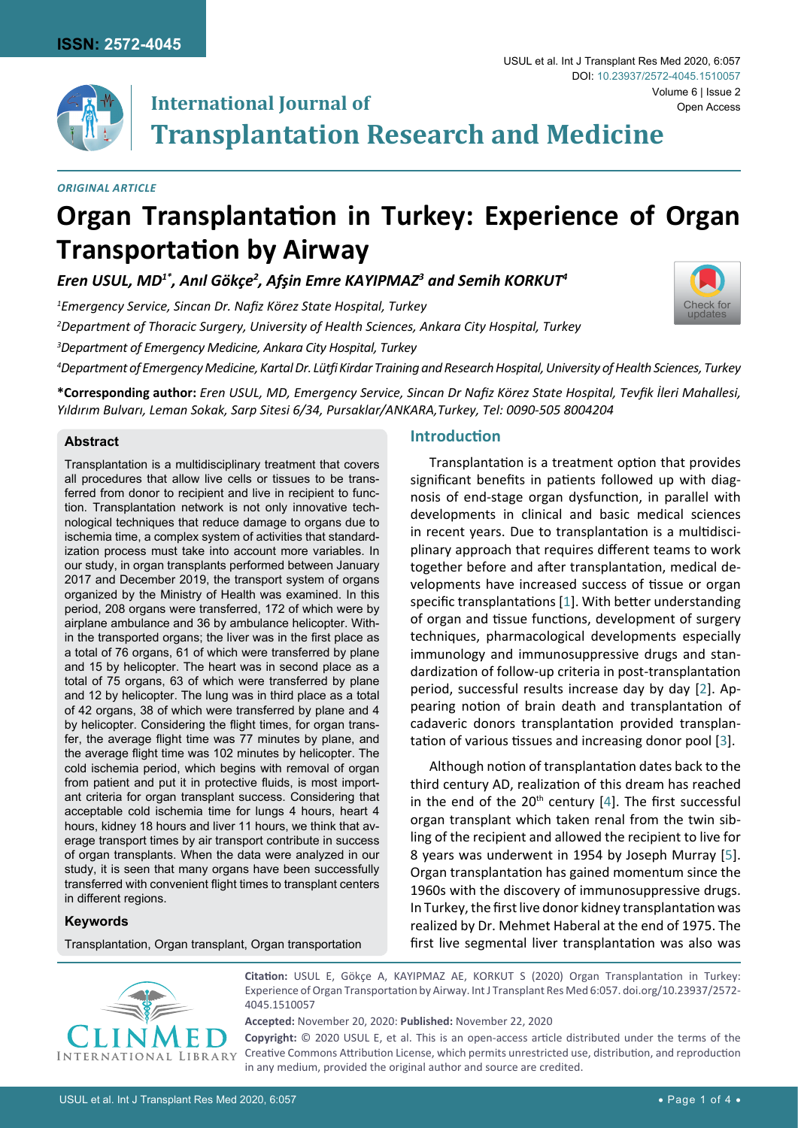

## **International Journal of Transplantation Research and Medicine**

*Original Article*

# **Organ Transplantation in Turkey: Experience of Organ Transportation by Airway**

*Eren USUL, MD1\*, Anıl Gökçe<sup>2</sup> , Afşin Emre KAYIPMAZ<sup>3</sup> and Semih KORKUT<sup>4</sup>*

*1 Emergency Service, Sincan Dr. Nafiz Körez State Hospital, Turkey*

*2 Department of Thoracic Surgery, University of Health Sciences, Ankara City Hospital, Turkey*

*3 Department of Emergency Medicine, Ankara City Hospital, Turkey*

*4 Department of Emergency Medicine, Kartal Dr. Lütfi Kirdar Training and Research Hospital, University of Health Sciences, Turkey*

**\*Corresponding author:** *Eren USUL, MD, Emergency Service, Sincan Dr Nafiz Körez State Hospital, Tevfik İleri Mahallesi, Yıldırım Bulvarı, Leman Sokak, Sarp Sitesi 6/34, Pursaklar/ANKARA,Turkey, Tel: 0090-505 8004204*

## **Abstract**

Transplantation is a multidisciplinary treatment that covers all procedures that allow live cells or tissues to be transferred from donor to recipient and live in recipient to function. Transplantation network is not only innovative technological techniques that reduce damage to organs due to ischemia time, a complex system of activities that standardization process must take into account more variables. In our study, in organ transplants performed between January 2017 and December 2019, the transport system of organs organized by the Ministry of Health was examined. In this period, 208 organs were transferred, 172 of which were by airplane ambulance and 36 by ambulance helicopter. Within the transported organs; the liver was in the first place as a total of 76 organs, 61 of which were transferred by plane and 15 by helicopter. The heart was in second place as a total of 75 organs, 63 of which were transferred by plane and 12 by helicopter. The lung was in third place as a total of 42 organs, 38 of which were transferred by plane and 4 by helicopter. Considering the flight times, for organ transfer, the average flight time was 77 minutes by plane, and the average flight time was 102 minutes by helicopter. The cold ischemia period, which begins with removal of organ from patient and put it in protective fluids, is most important criteria for organ transplant success. Considering that acceptable cold ischemia time for lungs 4 hours, heart 4 hours, kidney 18 hours and liver 11 hours, we think that average transport times by air transport contribute in success of organ transplants. When the data were analyzed in our study, it is seen that many organs have been successfully transferred with convenient flight times to transplant centers in different regions.

## **Keywords**

Transplantation, Organ transplant, Organ transportation

#### **Introduction**

Transplantation is a treatment option that provides significant benefits in patients followed up with diagnosis of end-stage organ dysfunction, in parallel with developments in clinical and basic medical sciences in recent years. Due to transplantation is a multidisciplinary approach that requires different teams to work together before and after transplantation, medical developments have increased success of tissue or organ specific transplantations [\[1\]](#page-3-0). With better understanding of organ and tissue functions, development of surgery techniques, pharmacological developments especially immunology and immunosuppressive drugs and standardization of follow-up criteria in post-transplantation period, successful results increase day by day [[2](#page-3-1)]. Appearing notion of brain death and transplantation of cadaveric donors transplantation provided transplantation of various tissues and increasing donor pool [\[3\]](#page-3-2).

Although notion of transplantation dates back to the third century AD, realization of this dream has reached in the end of the  $20<sup>th</sup>$  century [[4](#page-3-3)]. The first successful organ transplant which taken renal from the twin sibling of the recipient and allowed the recipient to live for 8 years was underwent in 1954 by Joseph Murray [\[5\]](#page-3-4). Organ transplantation has gained momentum since the 1960s with the discovery of immunosuppressive drugs. In Turkey, the first live donor kidney transplantation was realized by Dr. Mehmet Haberal at the end of 1975. The first live segmental liver transplantation was also was



**Citation:** USUL E, Gökçe A, KAYIPMAZ AE, KORKUT S (2020) Organ Transplantation in Turkey: Experience of Organ Transportation by Airway. Int J Transplant Res Med 6:057. [doi.org/10.23937/2572-](https://doi.org/10.23937/2572-4045.1510057) [4045.1510057](https://doi.org/10.23937/2572-4045.1510057)

**Accepted:** November 20, 2020: **Published:** November 22, 2020

**Copyright:** © 2020 USUL E, et al. This is an open-access article distributed under the terms of the Creative Commons Attribution License, which permits unrestricted use, distribution, and reproduction in any medium, provided the original author and source are credited.

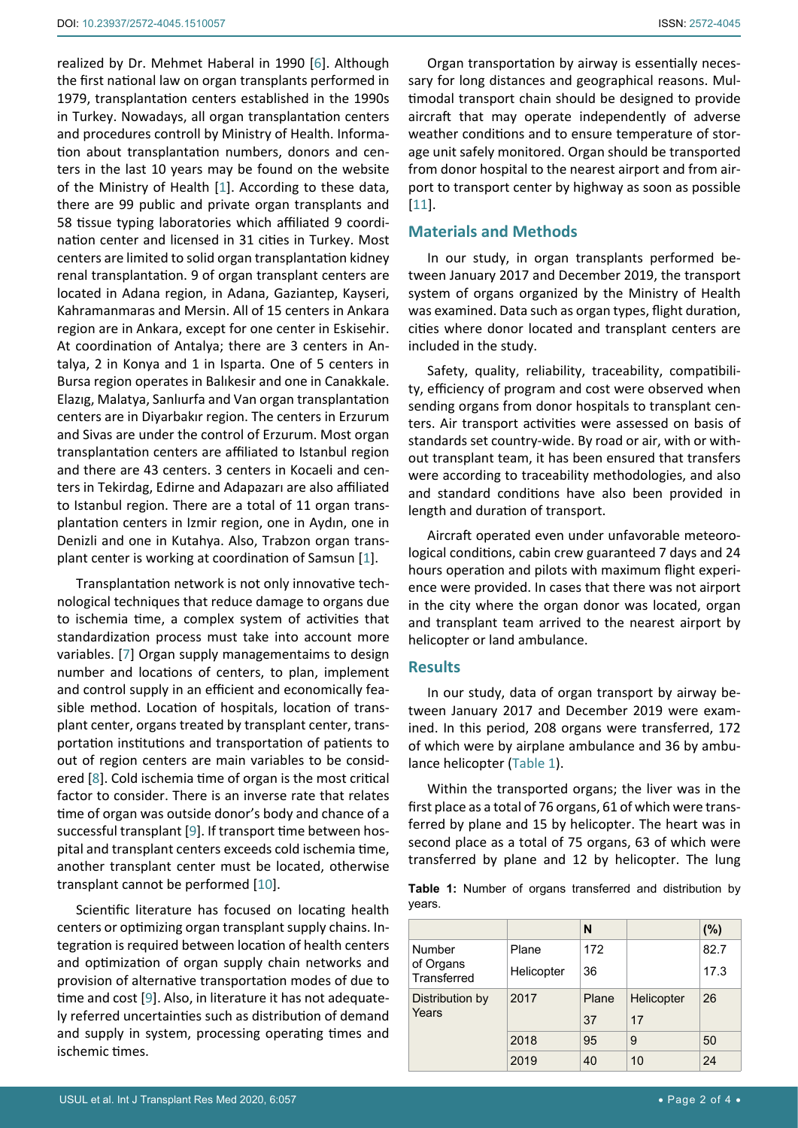realized by Dr. Mehmet Haberal in 1990 [\[6](#page-3-6)]. Although the first national law on organ transplants performed in 1979, transplantation centers established in the 1990s in Turkey. Nowadays, all organ transplantation centers and procedures controll by Ministry of Health. Information about transplantation numbers, donors and centers in the last 10 years may be found on the website of the Ministry of Health [\[1\]](#page-3-0). According to these data, there are 99 public and private organ transplants and 58 tissue typing laboratories which affiliated 9 coordination center and licensed in 31 cities in Turkey. Most centers are limited to solid organ transplantation kidney renal transplantation. 9 of organ transplant centers are located in Adana region, in Adana, Gaziantep, Kayseri, Kahramanmaras and Mersin. All of 15 centers in Ankara region are in Ankara, except for one center in Eskisehir. At coordination of Antalya; there are 3 centers in Antalya, 2 in Konya and 1 in Isparta. One of 5 centers in Bursa region operates in Balıkesir and one in Canakkale. Elazıg, Malatya, Sanlıurfa and Van organ transplantation centers are in Diyarbakır region. The centers in Erzurum and Sivas are under the control of Erzurum. Most organ transplantation centers are affiliated to Istanbul region and there are 43 centers. 3 centers in Kocaeli and centers in Tekirdag, Edirne and Adapazarı are also affiliated to Istanbul region. There are a total of 11 organ transplantation centers in Izmir region, one in Aydın, one in Denizli and one in Kutahya. Also, Trabzon organ transplant center is working at coordination of Samsun [[1](#page-3-0)].

Transplantation network is not only innovative technological techniques that reduce damage to organs due to ischemia time, a complex system of activities that standardization process must take into account more variables. [[7](#page-3-7)] Organ supply managementaims to design number and locations of centers, to plan, implement and control supply in an efficient and economically feasible method. Location of hospitals, location of transplant center, organs treated by transplant center, transportation institutions and transportation of patients to out of region centers are main variables to be considered [[8](#page-3-8)]. Cold ischemia time of organ is the most critical factor to consider. There is an inverse rate that relates time of organ was outside donor's body and chance of a successful transplant [\[9\]](#page-3-9). If transport time between hospital and transplant centers exceeds cold ischemia time, another transplant center must be located, otherwise transplant cannot be performed [\[10](#page-3-10)].

Scientific literature has focused on locating health centers or optimizing organ transplant supply chains. Integration is required between location of health centers and optimization of organ supply chain networks and provision of alternative transportation modes of due to time and cost [\[9\]](#page-3-9). Also, in literature it has not adequately referred uncertainties such as distribution of demand and supply in system, processing operating times and ischemic times.

Organ transportation by airway is essentially necessary for long distances and geographical reasons. Multimodal transport chain should be designed to provide aircraft that may operate independently of adverse weather conditions and to ensure temperature of storage unit safely monitored. Organ should be transported from donor hospital to the nearest airport and from airport to transport center by highway as soon as possible [\[11](#page-3-5)].

## **Materials and Methods**

In our study, in organ transplants performed between January 2017 and December 2019, the transport system of organs organized by the Ministry of Health was examined. Data such as organ types, flight duration, cities where donor located and transplant centers are included in the study.

Safety, quality, reliability, traceability, compatibility, efficiency of program and cost were observed when sending organs from donor hospitals to transplant centers. Air transport activities were assessed on basis of standards set country-wide. By road or air, with or without transplant team, it has been ensured that transfers were according to traceability methodologies, and also and standard conditions have also been provided in length and duration of transport.

Aircraft operated even under unfavorable meteorological conditions, cabin crew guaranteed 7 days and 24 hours operation and pilots with maximum flight experience were provided. In cases that there was not airport in the city where the organ donor was located, organ and transplant team arrived to the nearest airport by helicopter or land ambulance.

#### **Results**

In our study, data of organ transport by airway between January 2017 and December 2019 were examined. In this period, 208 organs were transferred, 172 of which were by airplane ambulance and 36 by ambulance helicopter [\(Table 1\)](#page-1-0).

Within the transported organs; the liver was in the first place as a total of 76 organs, 61 of which were transferred by plane and 15 by helicopter. The heart was in second place as a total of 75 organs, 63 of which were transferred by plane and 12 by helicopter. The lung

<span id="page-1-0"></span>**Table 1:** Number of organs transferred and distribution by years.

|                                    |                     | N           |                  | (%)          |
|------------------------------------|---------------------|-------------|------------------|--------------|
| Number<br>of Organs<br>Transferred | Plane<br>Helicopter | 172<br>36   |                  | 82.7<br>17.3 |
| Distribution by<br>Years           | 2017                | Plane<br>37 | Helicopter<br>17 | 26           |
|                                    | 2018                | 95          | 9                | 50           |
|                                    | 2019                | 40          | 10               | 24           |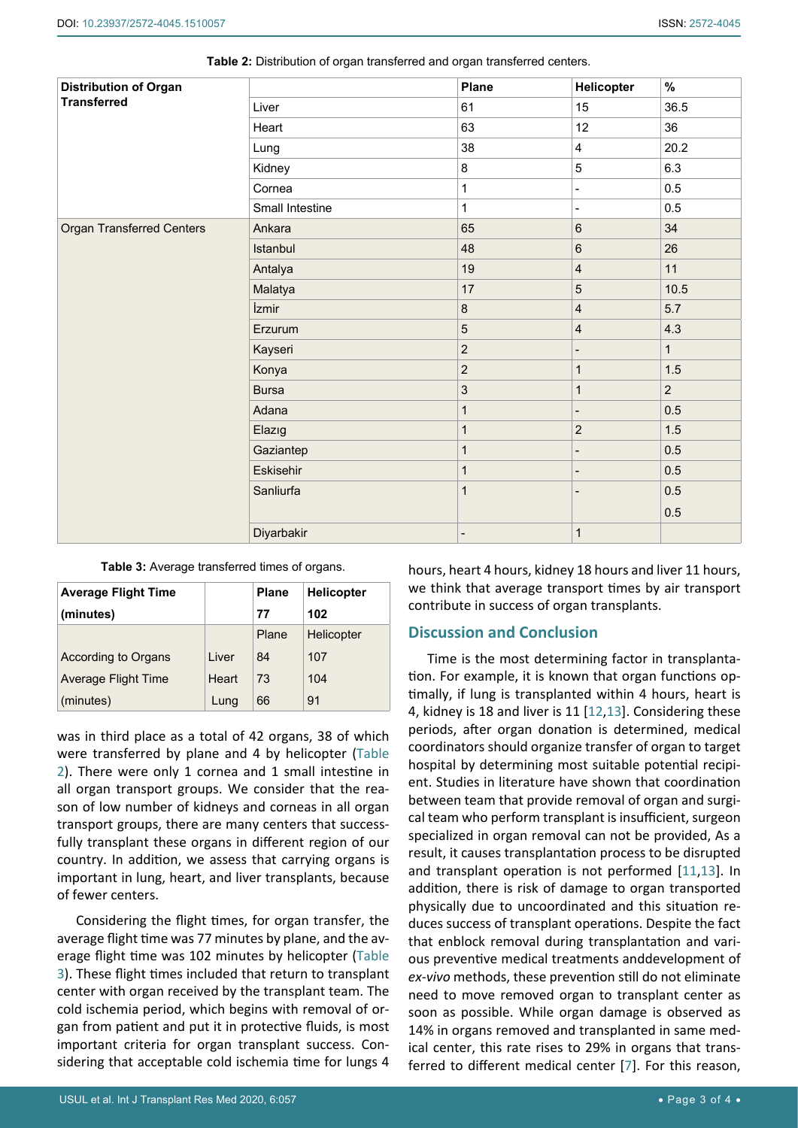| <b>Distribution of Organ</b><br><b>Transferred</b> |                 | Plane                    | Helicopter               | $\%$           |
|----------------------------------------------------|-----------------|--------------------------|--------------------------|----------------|
|                                                    | Liver           | 61                       | 15                       | 36.5           |
|                                                    | Heart           | 63                       | 12                       | 36             |
|                                                    | Lung            | 38                       | $\overline{\mathbf{4}}$  | 20.2           |
|                                                    | Kidney          | $\bf 8$                  | 5                        | 6.3            |
|                                                    | Cornea          | $\mathbf{1}$             | $\blacksquare$           | 0.5            |
|                                                    | Small Intestine | $\mathbf{1}$             | $\blacksquare$           | 0.5            |
| <b>Organ Transferred Centers</b>                   | Ankara          | 65                       | $\,6\,$                  | 34             |
|                                                    | Istanbul        | 48                       | $\,6\,$                  | 26             |
|                                                    | Antalya         | 19                       | $\overline{4}$           | 11             |
|                                                    | Malatya         | 17                       | 5                        | 10.5           |
|                                                    | İzmir           | $\bf 8$                  | $\overline{4}$           | 5.7            |
|                                                    | Erzurum         | 5                        | $\overline{4}$           | 4.3            |
|                                                    | Kayseri         | $\overline{c}$           | $\overline{\phantom{0}}$ | $\mathbf{1}$   |
|                                                    | Konya           | $\overline{c}$           | $\mathbf{1}$             | 1.5            |
|                                                    | <b>Bursa</b>    | 3                        | 1                        | $\overline{2}$ |
|                                                    | Adana           | $\mathbf{1}$             |                          | 0.5            |
|                                                    | Elazig          | $\overline{1}$           | $\sqrt{2}$               | 1.5            |
|                                                    | Gaziantep       | $\mathbf{1}$             | -                        | 0.5            |
|                                                    | Eskisehir       | $\mathbf{1}$             |                          | 0.5            |
|                                                    | Sanliurfa       | $\mathbf{1}$             |                          | 0.5            |
|                                                    |                 |                          |                          | 0.5            |
|                                                    | Diyarbakir      | $\overline{\phantom{a}}$ | $\mathbf{1}$             |                |

<span id="page-2-0"></span>

<span id="page-2-1"></span>**Table 3:** Average transferred times of organs.

| <b>Average Flight Time</b> |       | <b>Plane</b> | <b>Helicopter</b> |
|----------------------------|-------|--------------|-------------------|
| (minutes)                  |       | 77           | 102               |
|                            |       | Plane        | Helicopter        |
| According to Organs        | Liver | 84           | 107               |
| Average Flight Time        | Heart | 73           | 104               |
| (minutes)                  | Lung  | 66           | 91                |

was in third place as a total of 42 organs, 38 of which were transferred by plane and 4 by helicopter [\(Table](#page-2-0)  [2](#page-2-0)). There were only 1 cornea and 1 small intestine in all organ transport groups. We consider that the reason of low number of kidneys and corneas in all organ transport groups, there are many centers that successfully transplant these organs in different region of our country. In addition, we assess that carrying organs is important in lung, heart, and liver transplants, because of fewer centers.

Considering the flight times, for organ transfer, the average flight time was 77 minutes by plane, and the average flight time was 102 minutes by helicopter [\(Table](#page-2-1)  [3](#page-2-1)). These flight times included that return to transplant center with organ received by the transplant team. The cold ischemia period, which begins with removal of organ from patient and put it in protective fluids, is most important criteria for organ transplant success. Considering that acceptable cold ischemia time for lungs 4

hours, heart 4 hours, kidney 18 hours and liver 11 hours, we think that average transport times by air transport contribute in success of organ transplants.

## **Discussion and Conclusion**

Time is the most determining factor in transplantation. For example, it is known that organ functions optimally, if lung is transplanted within 4 hours, heart is 4, kidney is 18 and liver is 11 [[12](#page-3-11),[13\]](#page-3-12). Considering these periods, after organ donation is determined, medical coordinators should organize transfer of organ to target hospital by determining most suitable potential recipient. Studies in literature have shown that coordination between team that provide removal of organ and surgical team who perform transplant is insufficient, surgeon specialized in organ removal can not be provided, As a result, it causes transplantation process to be disrupted and transplant operation is not performed [\[11](#page-3-5),[13](#page-3-12)]. In addition, there is risk of damage to organ transported physically due to uncoordinated and this situation reduces success of transplant operations. Despite the fact that enblock removal during transplantation and various preventive medical treatments anddevelopment of *ex-vivo* methods, these prevention still do not eliminate need to move removed organ to transplant center as soon as possible. While organ damage is observed as 14% in organs removed and transplanted in same medical center, this rate rises to 29% in organs that transferred to different medical center [\[7\]](#page-3-7). For this reason,